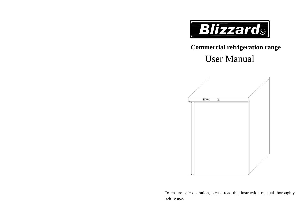

# **Commercial refrigeration range**

# User Manual



To ensure safe operation, please read this instruction manual thoroughly before use.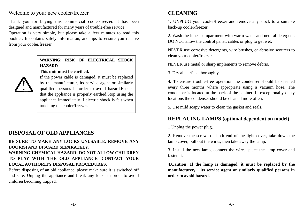#### Welcome to your new cooler/freezer

Thank you for buying this commercial cooler/freezer. It has been designed and manufactured for many years of trouble-free service.

Operation is very simple, but please take a few minutes to read this booklet. It contains safely information, and tips to ensure you receive from your cooler/freezer.

#### **WARNING: RISK OF ELECTRICAL SHOCK HAZARD**

#### **This unit must be earthed.**

If the power cable is damaged, it must be replaced by the manufacturer, its service agent or similarly qualified persons in order to avoid hazard.Ensuer that the appliance is properly earthed.Stop using the appliance immediately if electric shock is felt when touching the cooler/freezer.

# **DISPOSAL OF OLD APPLIANCES**

#### **BE SURE TO MAKE ANY LOCKS UNUSABLE, REMOVE ANY DOOR(S) AND DISCARD SEPARATELY. WARNING-CHEMICAL HAZARD: DO NOT ALLOW CHILDREN TO PLAY WITH THE OLD APPLIANCE. CONTACT YOUR LOCAL AUTHORITY DISPOSAL PROCEDURES.**

Before disposing of an old appliance, please make sure it is switched off and safe. Unplug the appliance and break any locks in order to avoid children becoming trapped.

# **CLEANING**

1. UNPLUG your cooler/freezer and remove any stock to a suitable back-up cooler/freezer.

2. Wash the inner compartment with warm water and neutral detergent. DO NOT allow the control panel, cables or plug to get wet.

NEVER use corrosive detergents, wire brushes, or abrasive scourers to clean your cooler/freezer.

NEVER use metal or sharp implements to remove debris.

3. Dry all surface thoroughly.

4. To ensure trouble-free operation the condenser should be cleaned every three months where appropriate using a vacuum hose. The condenser is located at the back of the cabinet. In exceptionally dusty locations the condenser should be cleaned more often.

5. Use mild soapy water to clean the gasket and seals.

## **REPLACING LAMPS (optional dependent on model)**

1 Unplug the power plug.

2. Remove the screws on both end of the light cover, take down the lamp cover, pull out the wires, then take away the lamp.

3. Install the new lamp, connect the wires, place the lamp cover and fasten it.

**4.Caution: If the lamp is damaged, it must be replaced by the manufacturer**, **its service agent or similarly qualified persons in order to avoid hazard.** 

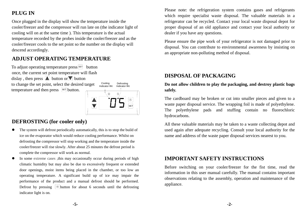# **PLUG IN**

Once plugged in the display will show the temperature inside the cooler/freezer and the compressor will run late on (the indicator light of cooling will on at the same time ). This temperature is the actual temperature recorded by the probes inside the cooler/freezer and as the cooler/freezer cools to the set point so the number on the display will descend accordingly.

# **ADJUST OPERATING TEMPERATURE**

To adjust operating temperature press  $\boxed{\text{set}}$  button once, the current set point temperature will flash dislay, then press  $\triangleq$  button or  $\overline{\blacktriangledown}$  button to change the set point, select the desired target temperature and then press  $\left[\underline{\text{se}}\right]$  button. Cooling Defrosting Indicator lihtIndicator liht



## **DEFROSTING (for cooler only)**

- o The system will defrost periodically automatically, this is to stop the build of ice on the evaporator which would reduce cooling performance. Whilst on defrosting the compressor will stop working and the temperature inside the cooler/freezer will rise slowly. After about 25 minutes the defrost period is complete the compressor will work as normal.
- e In some extreme cases ,this may occasionally occur during periods of high climatic humidity but may also be due to excessively frequent or extended door openings, moist items being placed in the chamber, or too low an operating temperature. A significant build up of ice may impair the performance of the product and a manual defrost should be performed. Defrost by pressing  $\frac{4}{3}$  button for about 6 seconds until the defrosting indicator light is on.

Please note: the refrigeration system contains gases and refrigerants which require specialist waste disposal. The valuable materials in a refrigerator can be recycled. Contact your local waste disposal depot for proper disposal of an old appliance and contact your local authority or dealer if you have any questions.

Please ensure the pipe work of your refrigerator is not damaged prior to disposal. You can contribute to environmental awareness by insisting on an appropriate non-polluting method of disposal.

## **DISPOSAL OF PACKAGING**

#### **Do not allow children to play the packaging, and destroy plastic bags safely.**

The cardboard may be broken or cut into smaller pieces and given to a waste paper disposal service. The wrapping foil is made of polyethylene. The polyethylene pads and stuffing contain no fluorochloric hydrocarbons.

All these valuable materials may be taken to a waste collecting depot and used again after adequate recycling. Consult your local authority for the name and address of the waste paper disposal services nearest to you.

#### **IMPORTANT SAFETY INSTRUCTIONS**

Before switching on your cooler/freezer for the fist time, read the information in this user manual carefully. The manual contains important observations relating to the assembly, operation and maintenance of the appliance.